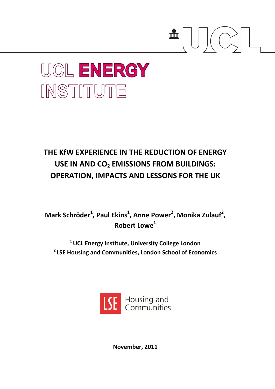

# **UCL ENERGY** INSTITUTE

## **THE KfW EXPERIENCE IN THE REDUCTION OF ENERGY USE IN AND CO<sup>2</sup> EMISSIONS FROM BUILDINGS: OPERATION, IMPACTS AND LESSONS FOR THE UK**

**Mark Schröder<sup>1</sup> , Paul Ekins<sup>1</sup> , Anne Power<sup>2</sup> , Monika Zulauf<sup>2</sup> , Robert Lowe<sup>1</sup>**

**<sup>1</sup>UCL Energy Institute, University College London <sup>2</sup>LSE Housing and Communities, London School of Economics**



**November, 2011**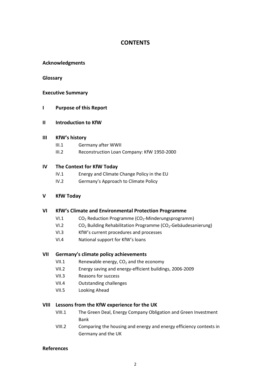#### **CONTENTS**

#### **Acknowledgments**

#### **Glossary**

#### **Executive Summary**

#### **I Purpose of this Report**

#### **II Introduction to KfW**

#### **III KfW's history**

- III.1 Germany after WWII
- III.2 Reconstruction Loan Company: KfW 1950-2000

#### **IV The Context for KfW Today**

- IV.1 Energy and Climate Change Policy in the EU
- IV.2 Germany's Approach to Climate Policy

#### **V KfW Today**

#### **VI KfW's Climate and Environmental Protection Programme**

- VI.1  $CO<sub>2</sub>$  Reduction Programme ( $CO<sub>2</sub>$ -Minderungsprogramm)
- VI.2  $CO<sub>2</sub>$  Building Rehabilitation Programme (CO<sub>2</sub>-Gebäudesanierung)
- VI.3 KfW's current procedures and processes
- VI.4 National support for KfW's loans

#### **VII Germany's climate policy achievements**

- VII.1 Renewable energy,  $CO<sub>2</sub>$  and the economy
- VII.2 Energy saving and energy-efficient buildings, 2006-2009
- VII.3 Reasons for success
- VII.4 Outstanding challenges
- VII.5 Looking Ahead

#### **VIII Lessons from the KfW experience for the UK**

- VIII.1 The Green Deal, Energy Company Obligation and Green Investment Bank
- VIII.2 Comparing the housing and energy and energy efficiency contexts in Germany and the UK

#### **References**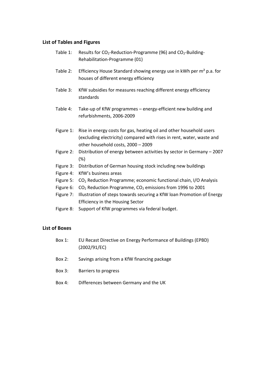#### **List of Tables and Figures**

- Table 1: Results for  $CO_2$ -Reduction-Programme (96) and  $CO_2$ -Building-Rehabilitation-Programme (01)
- Table 2: Efficiency House Standard showing energy use in kWh per m² p.a. for houses of different energy efficiency
- Table 3: KfW subsidies for measures reaching different energy efficiency standards
- Table 4: Take-up of KfW programmes energy-efficient new building and refurbishments, 2006-2009
- Figure 1: Rise in energy costs for gas, heating oil and other household users (excluding electricity) compared with rises in rent, water, waste and other household costs, 2000 – 2009
- Figure 2: Distribution of energy between activities by sector in Germany 2007 (%)
- Figure 3: Distribution of German housing stock including new buildings
- Figure 4: KfW's business areas
- Figure 5: CO<sub>2</sub> Reduction Programme; economic functional chain, I/O Analysis
- Figure 6:  $CO<sub>2</sub>$  Reduction Programme,  $CO<sub>2</sub>$  emissions from 1996 to 2001
- Figure 7: Illustration of steps towards securing a KfW loan Promotion of Energy Efficiency in the Housing Sector
- Figure 8: Support of KfW programmes via federal budget.

#### **List of Boxes**

- Box 1: EU Recast Directive on Energy Performance of Buildings (EPBD) (2002/91/EC)
- Box 2: Savings arising from a KfW financing package
- Box 3: Barriers to progress
- Box 4: Differences between Germany and the UK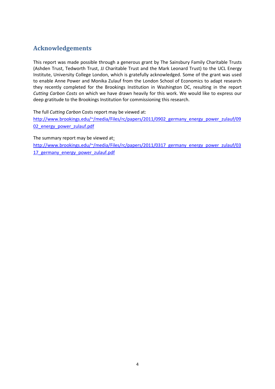### **Acknowledgements**

This report was made possible through a generous grant by The Sainsbury Family Charitable Trusts (Ashden Trust, Tedworth Trust, JJ Charitable Trust and the Mark Leonard Trust) to the UCL Energy Institute, University College London, which is gratefully acknowledged. Some of the grant was used to enable Anne Power and Monika Zulauf from the London School of Economics to adapt research they recently completed for the Brookings Institution in Washington DC, resulting in the report *Cutting Carbon Costs* on which we have drawn heavily for this work. We would like to express our deep gratitude to the Brookings Institution for commissioning this research.

The full *Cutting Carbon* Costs report may be viewed at:

[http://www.brookings.edu/~/media/Files/rc/papers/2011/0902\\_germany\\_energy\\_power\\_zulauf/09](http://www.brookings.edu/~/media/Files/rc/papers/2011/0902_germany_energy_power_zulauf/0902_energy_power_zulauf.pdf) 02 energy power zulauf.pdf

The summary report may be viewed at:

[http://www.brookings.edu/~/media/Files/rc/papers/2011/0317\\_germany\\_energy\\_power\\_zulauf/03](http://www.brookings.edu/~/media/Files/rc/papers/2011/0317_germany_energy_power_zulauf/0317_germany_energy_power_zulauf.pdf) [17\\_germany\\_energy\\_power\\_zulauf.pdf](http://www.brookings.edu/~/media/Files/rc/papers/2011/0317_germany_energy_power_zulauf/0317_germany_energy_power_zulauf.pdf)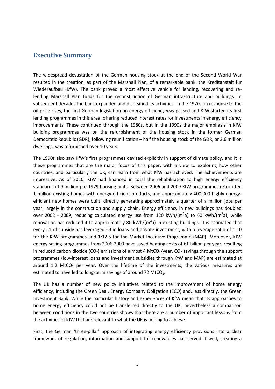#### **Executive Summary**

The widespread devastation of the German housing stock at the end of the Second World War resulted in the creation, as part of the Marshall Plan, of a remarkable bank: the Kreditanstalt für Wiederaufbau (KfW). The bank proved a most effective vehicle for lending, recovering and relending Marshall Plan funds for the reconstruction of German infrastructure and buildings. In subsequent decades the bank expanded and diversified its activities. In the 1970s, in response to the oil price rises, the first German legislation on energy efficiency was passed and KfW started its first lending programmes in this area, offering reduced interest rates for investments in energy efficiency improvements. These continued through the 1980s, but in the 1990s the major emphasis in KfW building programmes was on the refurbishment of the housing stock in the former German Democratic Republic (GDR), following reunification – half the housing stock of the GDR, or 3.6 million dwellings, was refurbished over 10 years.

The 1990s also saw KfW's first programmes devised explicitly in support of climate policy, and it is these programmes that are the major focus of this paper, with a view to exploring how other countries, and particularly the UK, can learn from what KfW has achieved. The achievements are impressive. As of 2010, KfW had financed in total the rehabilitation to high energy efficiency standards of 9 million pre-1979 housing units. Between 2006 and 2009 KfW programmes retrofitted 1 million existing homes with energy-efficient products, and approximately 400,000 highly energyefficient new homes were built, directly generating approximately a quarter of a million jobs per year, largely in the construction and supply chain. Energy efficiency in new buildings has doubled over 2002 - 2009, reducing calculated energy use from 120 kWh/(m<sup>2</sup>a) to 60 kWh/(m<sup>2</sup>a), while renovation has reduced it to approximately 80 kWh/( $m^2$ a) in existing buildings. It is estimated that every €1 of subsidy has leveraged €9 in loans and private investment, with a leverage ratio of 1:10 for the KfW programmes and 1:12.5 for the Market Incentive Programme (MAP). Moreover, KfW energy-saving programmes from 2006-2009 have saved heating costs of €1 billion per year, resulting in reduced carbon dioxide (CO<sub>2</sub>) emissions of almost 4 MtCO<sub>2</sub>/year. CO<sub>2</sub> savings through the support programmes (low-interest loans and investment subsidies through KfW and MAP) are estimated at around 1.2 MtCO<sub>2</sub> per year. Over the lifetime of the investments, the various measures are estimated to have led to long-term savings of around 72 MtCO<sub>2</sub>.

The UK has a number of new policy initiatives related to the improvement of home energy efficiency, including the Green Deal, Energy Company Obligation (ECO) and, less directly, the Green Investment Bank. While the particular history and experiences of KfW mean that its approaches to home energy efficiency could not be transferred directly to the UK, nevertheless a comparison between conditions in the two countries shows that there are a number of important lessons from the activities of KfW that are relevant to what the UK is hoping to achieve.

First, the German 'three-pillar' approach of integrating energy efficiency provisions into a clear framework of regulation, information and support for renewables has served it well, creating a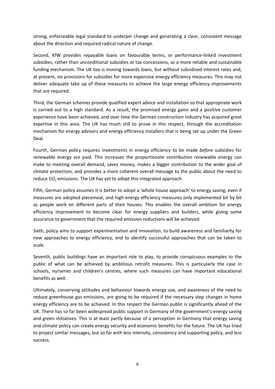strong, enforceable legal standard to underpin change and generating a clear, consistent message about the direction and required radical nature of change.

Second, KfW provides repayable loans on favourable terms, or performance-linked investment subsidies, rather than unconditional subsidies or tax concessions, as a more reliable and sustainable funding mechanism. The UK too is moving towards loans, but without subsidised interest rates and, at present, no provisions for subsidies for more expensive energy efficiency measures. This may not deliver adequate take up of these measures to achieve the large energy efficiency improvements that are required.

Third, the German schemes provide qualified expert advice and installation so that appropriate work is carried out to a high standard. As a result, the promised energy gains and a positive customer experience have been achieved, and over time the German construction industry has acquired great expertise in this area. The UK has much still to prove in this respect, through the accreditation mechanism for energy advisers and energy efficiency installers that is being set up under the Green Deal.

Fourth, German policy requires investments in energy efficiency to be made *before* subsidies for renewable energy are paid. This increases the proportionate contribution renewable energy can make to meeting overall demand, saves money, makes a bigger contribution to the wider goal of climate protection, and provides a more coherent overall message to the public about the need to reduce  $CO<sub>2</sub>$  emissions. The UK has yet to adopt this integrated approach.

Fifth, German policy assumes it is better to adopt a 'whole house approach' to energy saving, even if measures are adopted piecemeal, and high energy efficiency measures only implemented bit by bit as people work on different parts of their houses. This enables the overall ambition for energy efficiency improvement to become clear for energy suppliers and builders, while giving some assurance to government that the required emission reductions will be achieved.

Sixth, policy aims to support experimentation and innovation, to build awareness and familiarity for new approaches to energy efficiency, and to identify successful approaches that can be taken to scale.

Seventh, public buildings have an important role to play, to provide conspicuous examples to the public of what can be achieved by ambitious retrofit measures. This is particularly the case in schools, nurseries and children's centres, where such measures can have important educational benefits as well.

Ultimately, conserving attitudes and behaviour towards energy use, and awareness of the need to reduce greenhouse gas emissions, are going to be required if the necessary step changes in home energy efficiency are to be achieved. In this respect the German public is significantly ahead of the UK. There has so far been widespread public support in Germany of the government's energy saving and green initiatives. This is at least partly because of a perception in Germany that energy saving and climate policy can create energy security and economic benefits for the future. The UK has tried to project similar messages, but so far with less intensity, consistency and supporting policy, and less success.